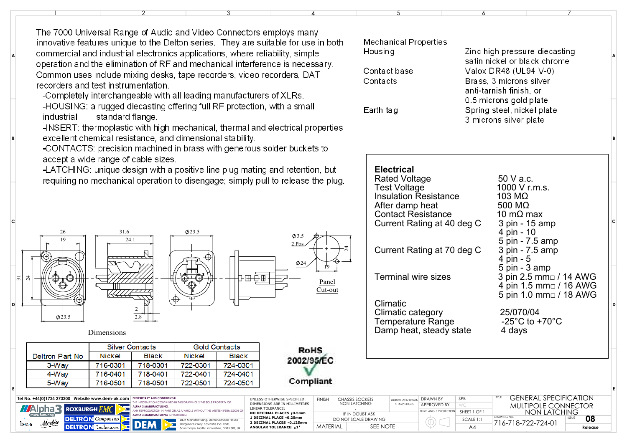The 7000 Universal Range of Audio and Video Connectors employs many innovative features unique to the Delton series. They are suitable for use in both commercial and industrial electronics applications, where reliability, simple operation and the elimination of RF and mechanical interference is necessary. Common uses include mixing desks, tape recorders, video recorders, DAT recorders and test instrumentation.

-Completely interchangeable with all leading manufacturers of XLRs.

-HOUSING: a rugged diecasting offering full RF protection, with a small industrial standard flange.

HNSERT: thermoplastic with high mechanical, thermal and electrical properties excellent chemical resistance, and dimensional stability.

-CONTACTS: precision machined in brass with generous solder buckets to accept a wide range of cable sizes.

-LATCHING: unique design with a positive line plug mating and retention, but requiring no mechanical operation to disengage; simply pull to release the plug.

> Panel Cut-out

**RoHS** 2002/95/EC

Compliant

**FINISH** 

**MATFRIAL** 

**SEE NOTE** 

UNLESS OTHERWISE SPECIFIED:

DIMENSIONS ARE IN MILLIMETRES

NO DECIMAL PLACES ±0.5mm

2 DECIMAL PLACES +0.125mm

1 DECIMAL PLACE +0.25mm

ANGULAR TOLERANCE: +1\*

LINEAR TOLERANCE:



Dimensions

Tel No. +44(0)1724 273200 Website www.dem-uk.com PROPRIETARY AND CONFIDENTIA

**ROXBURGH F** 

**DELTRON** Enclosure.

**M**Alpha <del>R</del>

 $b - s$ 

Media

|                 | Silver Contacts |              | <b>Gold Contacts</b> |              |
|-----------------|-----------------|--------------|----------------------|--------------|
| Deltron Part No | Nickel          | <b>Black</b> | <b>Nickel</b>        | <b>Black</b> |
| 3-Wav           | 716-0301        | 718-0301     | 722-0301             | 724-0301     |
| 4-Way           | 716-0401        | 718-0401     | 722-0401             | 724-0401     |
| 5-Way           | 716-0501        | 718-0501     | 722-0501             | 724-0501     |

ALPHA 3 MANUFACTURING

**LIPHA 3 MANUFACTURING IS PROHIBITED.** 

HE INFORMATION CONTAINED IN THIS DRAWING IS THE SOLE PROPERTY OF

DEM Manufacturing Deltron Emcon Ho

Scunthorpe, North Lincolnshire, DN15 8RF, U

Harareaves Way, Sawcliffe Ind. Park

| oth                                                                             | Mechanical Properties<br>Housing<br>Contact base<br>Contacts                                                                                                    |                                           |                                       | Zinc high pressure diecasting<br>satin nickel or black chrome<br>Valox DR48 (UL94 V-0)<br>Brass, 3 microns silver<br>anti-tarnish finish, or |                                                                                                                                                            |   |  |
|---------------------------------------------------------------------------------|-----------------------------------------------------------------------------------------------------------------------------------------------------------------|-------------------------------------------|---------------------------------------|----------------------------------------------------------------------------------------------------------------------------------------------|------------------------------------------------------------------------------------------------------------------------------------------------------------|---|--|
| ies                                                                             | Earth tag                                                                                                                                                       |                                           |                                       |                                                                                                                                              | 0.5 microns gold plate<br>Spring steel, nickel plate<br>3 microns silver plate                                                                             | B |  |
| л<br>lug.                                                                       |                                                                                                                                                                 | <b>Electrical</b><br><b>Rated Voltage</b> |                                       |                                                                                                                                              | 50 V a.c.                                                                                                                                                  |   |  |
| $\overline{24}$<br>эl<br>ut                                                     | <b>Test Voltage</b><br><b>Insulation Resistance</b><br>After damp heat<br><b>Contact Resistance</b><br>Current Rating at 40 deg C<br>Current Rating at 70 deg C |                                           |                                       |                                                                                                                                              | 1000 V r.m.s.<br>103 M $\Omega$<br>500 $M\Omega$<br>10 m $\Omega$ max<br>3 pin - 15 amp<br>4 pin - 10<br>5 pin - 7.5 amp<br>3 pin - 7.5 amp<br>4 pin - 5   |   |  |
|                                                                                 | <b>Terminal wire sizes</b><br>Climatic<br>Climatic category<br><b>Temperature Range</b><br>Damp heat, steady state                                              |                                           |                                       |                                                                                                                                              | 5 pin - 3 amp<br>3 pin 2.5 mm□ / 14 AWG<br>4 pin 1.5 mm□ / 16 AWG<br>5 pin 1.0 mm□ / 18 AWG<br>25/070/04<br>-25 $^{\circ}$ C to +70 $^{\circ}$ C<br>4 days | D |  |
|                                                                                 |                                                                                                                                                                 | DEBURR AND BREAK                          | DRAWN BY                              | SPB                                                                                                                                          | <b>GENERAL SPECIFICATION</b><br>TITLE                                                                                                                      | E |  |
| <b>CHASSIS SOCKETS</b><br><b>NON LATCHING</b><br>SHARP EDGES<br>IF IN DOUBT ASK |                                                                                                                                                                 |                                           | APPROVED BY<br>THIRD ANGLE PROJECTION | WC<br>SHEET 1 OF 1                                                                                                                           | MULTIPOLE CONNECTOR<br>NON LATCHING                                                                                                                        |   |  |
| DO NOT SCALE DRAWING<br>$\lambda$ LOTE                                          |                                                                                                                                                                 |                                           |                                       | SCALE 1:1                                                                                                                                    | DRAWING NO.<br><b>ISSUE</b><br>08<br>716-718-722-724-01                                                                                                    |   |  |

 $A<sub>4</sub>$ 

**Polonse**